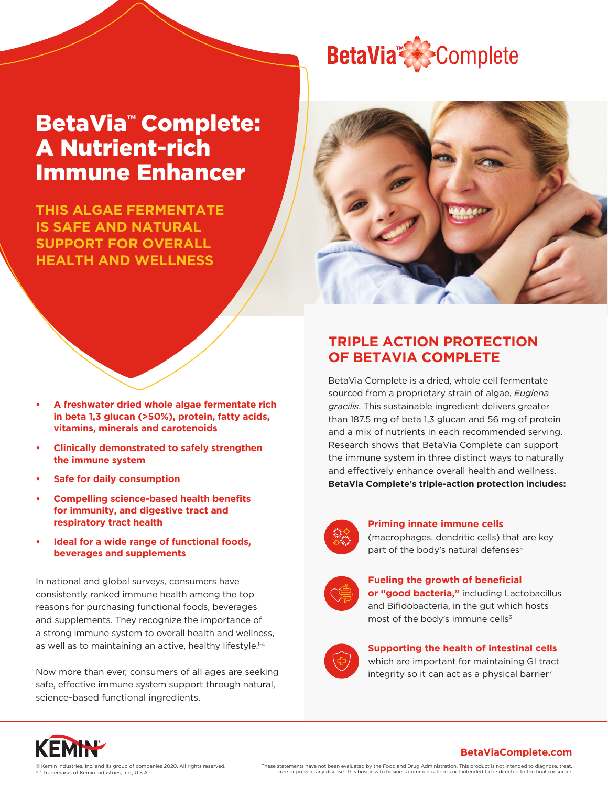# **BetaVia<sup>x</sup>**Complete

# BetaVia<sup>™</sup> Complete: A Nutrient-rich Immune Enhancer

**THIS ALGAE FERMENTATE IS SAFE AND NATURAL SUPPORT FOR OVERALL HEALTH AND WELLNESS**



- **• A freshwater dried whole algae fermentate rich in beta 1,3 glucan (>50%), protein, fatty acids, vitamins, minerals and carotenoids**
- **• Clinically demonstrated to safely strengthen the immune system**
- **• Safe for daily consumption**
- **• Compelling science-based health benefits for immunity, and digestive tract and respiratory tract health**
- **• Ideal for a wide range of functional foods, beverages and supplements**

In national and global surveys, consumers have consistently ranked immune health among the top reasons for purchasing functional foods, beverages and supplements. They recognize the importance of a strong immune system to overall health and wellness, as well as to maintaining an active, healthy lifestyle.<sup>1-4</sup>

Now more than ever, consumers of all ages are seeking safe, effective immune system support through natural, science-based functional ingredients.

# **TRIPLE ACTION PROTECTION OF BETAVIA COMPLETE**

BetaVia Complete is a dried, whole cell fermentate sourced from a proprietary strain of algae, *Euglena gracilis*. This sustainable ingredient delivers greater than 187.5 mg of beta 1,3 glucan and 56 mg of protein and a mix of nutrients in each recommended serving. Research shows that BetaVia Complete can support the immune system in three distinct ways to naturally and effectively enhance overall health and wellness. **BetaVia Complete's triple-action protection includes:**



**Priming innate immune cells**

(macrophages, dendritic cells) that are key part of the body's natural defenses<sup>5</sup>



#### **Fueling the growth of beneficial**

**or "good bacteria,"** including Lactobacillus and Bifidobacteria, in the gut which hosts most of the body's immune cells<sup>6</sup>



#### **Supporting the health of intestinal cells**

which are important for maintaining GI tract integrity so it can act as a physical barrier<sup>7</sup>

**BetaViaComplete.com**



These statements have not been evaluated by the Food and Drug Administration. This product is not intended to diagnose, treat, cure or prevent any disease. This business to business communication is not intended to be directed to the final consumer.